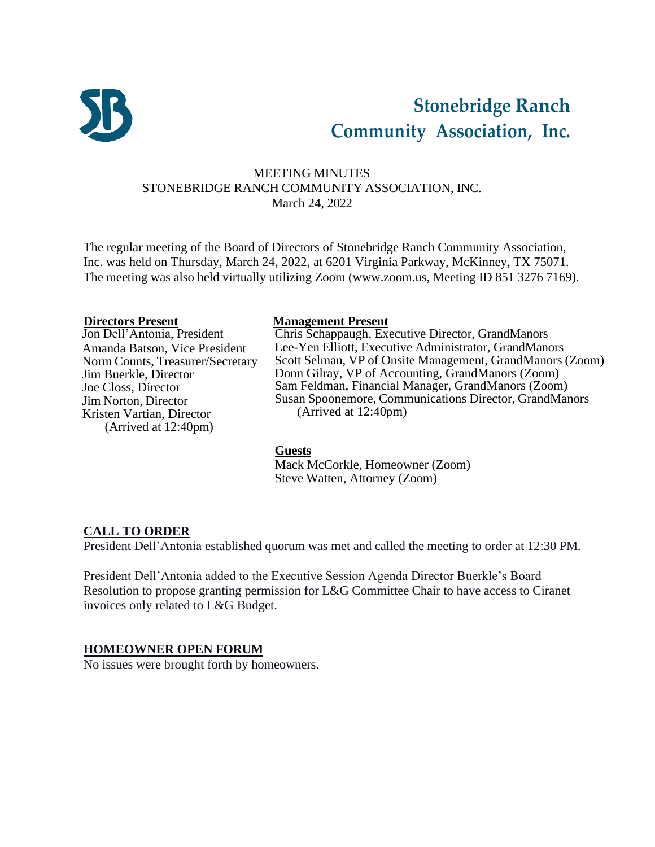

# **Stonebridge Ranch Community Association, Inc.**

# MEETING MINUTES STONEBRIDGE RANCH COMMUNITY ASSOCIATION, INC. March 24, 2022

The regular meeting of the Board of Directors of Stonebridge Ranch Community Association, Inc. was held on Thursday, March 24, 2022, at 6201 Virginia Parkway, McKinney, TX 75071. The meeting was also held virtually utilizing Zoom [\(www.zoom.us,](http://www.zoom.us/) Meeting ID 851 3276 7169).

Amanda Batson, Vice President Norm Counts, Treasurer/Secretary Jim Buerkle, Director Joe Closs, Director Jim Norton, Director Kristen Vartian, Director (Arrived at 12:40pm)

#### **Directors Present Management Present**

Jon Dell'Antonia, President Chris Schappaugh, Executive Director, GrandManors Lee-Yen Elliott, Executive Administrator, GrandManors Scott Selman, VP of Onsite Management, GrandManors (Zoom) Donn Gilray, VP of Accounting, GrandManors (Zoom) Sam Feldman, Financial Manager, GrandManors (Zoom) Susan Spoonemore, Communications Director, GrandManors (Arrived at 12:40pm)

#### **Guests**

Mack McCorkle, Homeowner (Zoom) Steve Watten, Attorney (Zoom)

# **CALL TO ORDER**

President Dell'Antonia established quorum was met and called the meeting to order at 12:30 PM.

President Dell'Antonia added to the Executive Session Agenda Director Buerkle's Board Resolution to propose granting permission for L&G Committee Chair to have access to Ciranet invoices only related to L&G Budget.

#### **HOMEOWNER OPEN FORUM**

No issues were brought forth by homeowners.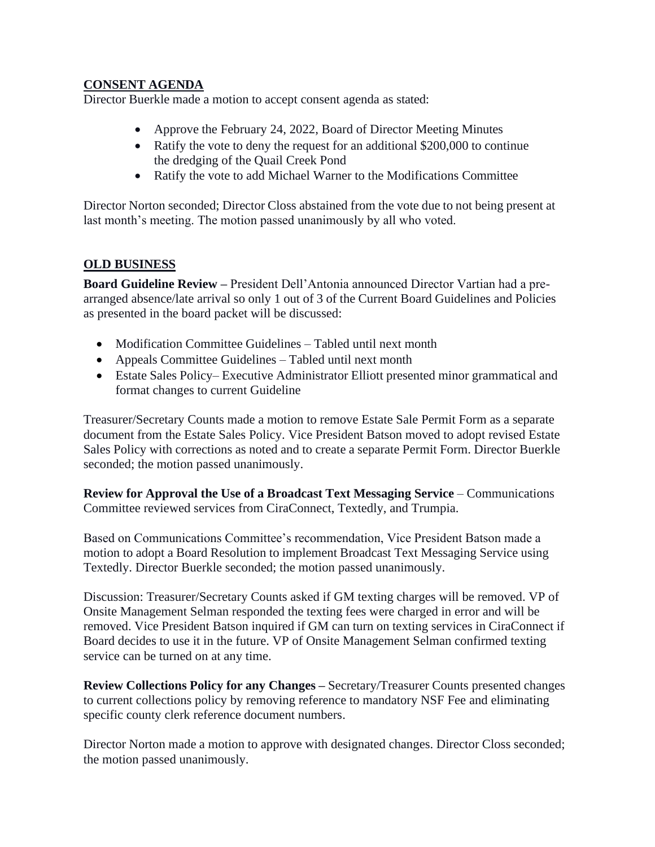## **CONSENT AGENDA**

Director Buerkle made a motion to accept consent agenda as stated:

- Approve the February 24, 2022, Board of Director Meeting Minutes
- Ratify the vote to deny the request for an additional \$200,000 to continue the dredging of the Quail Creek Pond
- Ratify the vote to add Michael Warner to the Modifications Committee

Director Norton seconded; Director Closs abstained from the vote due to not being present at last month's meeting. The motion passed unanimously by all who voted.

# **OLD BUSINESS**

**Board Guideline Review –** President Dell'Antonia announced Director Vartian had a prearranged absence/late arrival so only 1 out of 3 of the Current Board Guidelines and Policies as presented in the board packet will be discussed:

- Modification Committee Guidelines Tabled until next month
- Appeals Committee Guidelines Tabled until next month
- Estate Sales Policy– Executive Administrator Elliott presented minor grammatical and format changes to current Guideline

Treasurer/Secretary Counts made a motion to remove Estate Sale Permit Form as a separate document from the Estate Sales Policy. Vice President Batson moved to adopt revised Estate Sales Policy with corrections as noted and to create a separate Permit Form. Director Buerkle seconded; the motion passed unanimously.

**Review for Approval the Use of a Broadcast Text Messaging Service** – Communications Committee reviewed services from CiraConnect, Textedly, and Trumpia.

Based on Communications Committee's recommendation, Vice President Batson made a motion to adopt a Board Resolution to implement Broadcast Text Messaging Service using Textedly. Director Buerkle seconded; the motion passed unanimously.

Discussion: Treasurer/Secretary Counts asked if GM texting charges will be removed. VP of Onsite Management Selman responded the texting fees were charged in error and will be removed. Vice President Batson inquired if GM can turn on texting services in CiraConnect if Board decides to use it in the future. VP of Onsite Management Selman confirmed texting service can be turned on at any time.

**Review Collections Policy for any Changes –** Secretary/Treasurer Counts presented changes to current collections policy by removing reference to mandatory NSF Fee and eliminating specific county clerk reference document numbers.

Director Norton made a motion to approve with designated changes. Director Closs seconded; the motion passed unanimously.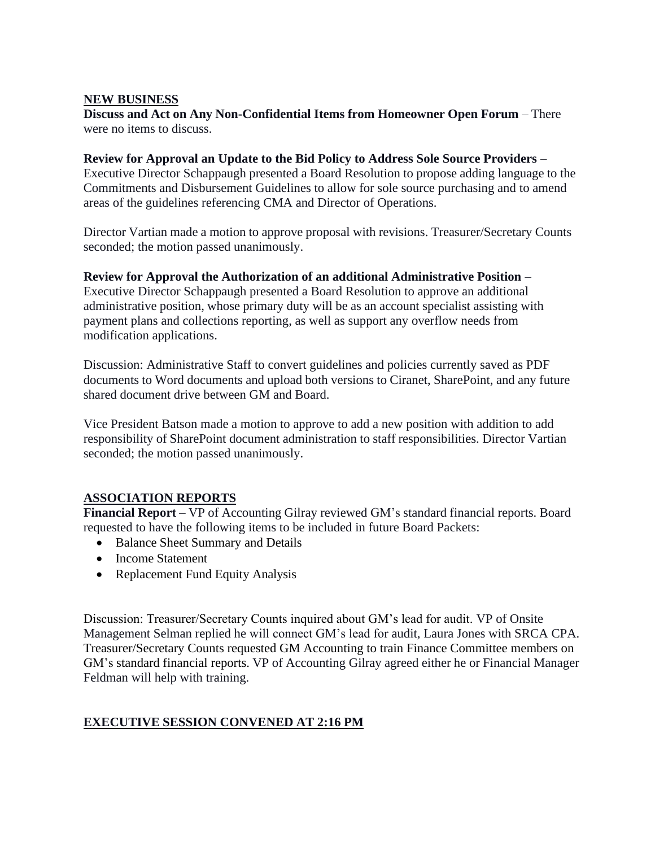#### **NEW BUSINESS**

**Discuss and Act on Any Non-Confidential Items from Homeowner Open Forum** – There were no items to discuss.

#### **Review for Approval an Update to the Bid Policy to Address Sole Source Providers** –

Executive Director Schappaugh presented a Board Resolution to propose adding language to the Commitments and Disbursement Guidelines to allow for sole source purchasing and to amend areas of the guidelines referencing CMA and Director of Operations.

Director Vartian made a motion to approve proposal with revisions. Treasurer/Secretary Counts seconded; the motion passed unanimously.

#### **Review for Approval the Authorization of an additional Administrative Position** –

Executive Director Schappaugh presented a Board Resolution to approve an additional administrative position, whose primary duty will be as an account specialist assisting with payment plans and collections reporting, as well as support any overflow needs from modification applications.

Discussion: Administrative Staff to convert guidelines and policies currently saved as PDF documents to Word documents and upload both versions to Ciranet, SharePoint, and any future shared document drive between GM and Board.

Vice President Batson made a motion to approve to add a new position with addition to add responsibility of SharePoint document administration to staff responsibilities. Director Vartian seconded; the motion passed unanimously.

# **ASSOCIATION REPORTS**

**Financial Report** – VP of Accounting Gilray reviewed GM's standard financial reports. Board requested to have the following items to be included in future Board Packets:

- Balance Sheet Summary and Details
- Income Statement
- Replacement Fund Equity Analysis

Discussion: Treasurer/Secretary Counts inquired about GM's lead for audit. VP of Onsite Management Selman replied he will connect GM's lead for audit, Laura Jones with SRCA CPA. Treasurer/Secretary Counts requested GM Accounting to train Finance Committee members on GM's standard financial reports. VP of Accounting Gilray agreed either he or Financial Manager Feldman will help with training.

# **EXECUTIVE SESSION CONVENED AT 2:16 PM**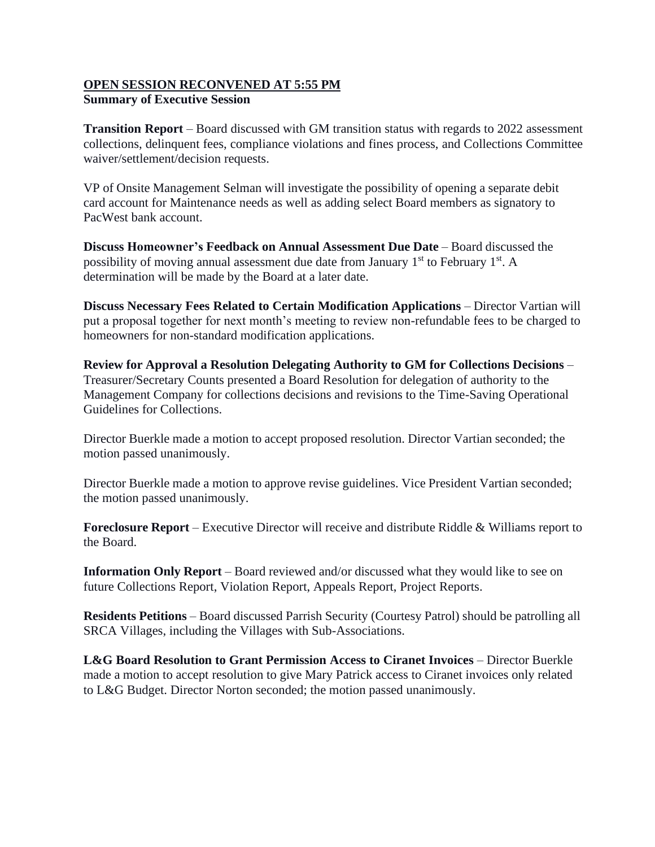#### **OPEN SESSION RECONVENED AT 5:55 PM Summary of Executive Session**

**Transition Report** – Board discussed with GM transition status with regards to 2022 assessment collections, delinquent fees, compliance violations and fines process, and Collections Committee waiver/settlement/decision requests.

VP of Onsite Management Selman will investigate the possibility of opening a separate debit card account for Maintenance needs as well as adding select Board members as signatory to PacWest bank account.

**Discuss Homeowner's Feedback on Annual Assessment Due Date** – Board discussed the possibility of moving annual assessment due date from January 1<sup>st</sup> to February 1<sup>st</sup>. A determination will be made by the Board at a later date.

**Discuss Necessary Fees Related to Certain Modification Applications** – Director Vartian will put a proposal together for next month's meeting to review non-refundable fees to be charged to homeowners for non-standard modification applications.

**Review for Approval a Resolution Delegating Authority to GM for Collections Decisions** – Treasurer/Secretary Counts presented a Board Resolution for delegation of authority to the Management Company for collections decisions and revisions to the Time-Saving Operational Guidelines for Collections.

Director Buerkle made a motion to accept proposed resolution. Director Vartian seconded; the motion passed unanimously.

Director Buerkle made a motion to approve revise guidelines. Vice President Vartian seconded; the motion passed unanimously.

**Foreclosure Report** – Executive Director will receive and distribute Riddle & Williams report to the Board.

**Information Only Report** – Board reviewed and/or discussed what they would like to see on future Collections Report, Violation Report, Appeals Report, Project Reports.

**Residents Petitions** – Board discussed Parrish Security (Courtesy Patrol) should be patrolling all SRCA Villages, including the Villages with Sub-Associations.

**L&G Board Resolution to Grant Permission Access to Ciranet Invoices** – Director Buerkle made a motion to accept resolution to give Mary Patrick access to Ciranet invoices only related to L&G Budget. Director Norton seconded; the motion passed unanimously.